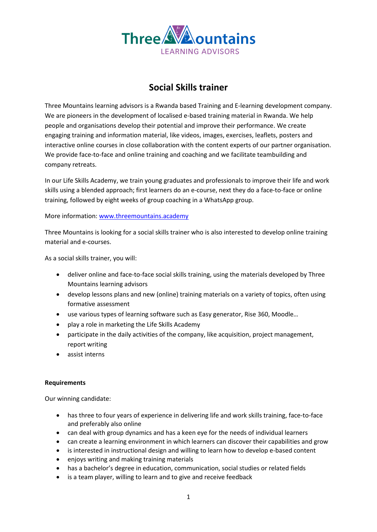

# **Social Skills trainer**

Three Mountains learning advisors is a Rwanda based Training and E-learning development company. We are pioneers in the development of localised e-based training material in Rwanda. We help people and organisations develop their potential and improve their performance. We create engaging training and information material, like videos, images, exercises, leaflets, posters and interactive online courses in close collaboration with the content experts of our partner organisation. We provide face-to-face and online training and coaching and we facilitate teambuilding and company retreats.

In our Life Skills Academy, we train young graduates and professionals to improve their life and work skills using a blended approach; first learners do an e-course, next they do a face-to-face or online training, followed by eight weeks of group coaching in a WhatsApp group.

More information: [www.threemountains.academy](http://www.threemountains.academy/)

Three Mountains is looking for a social skills trainer who is also interested to develop online training material and e-courses.

As a social skills trainer, you will:

- deliver online and face-to-face social skills training, using the materials developed by Three Mountains learning advisors
- develop lessons plans and new (online) training materials on a variety of topics, often using formative assessment
- use various types of learning software such as Easy generator, Rise 360, Moodle…
- play a role in marketing the Life Skills Academy
- participate in the daily activities of the company, like acquisition, project management, report writing
- assist interns

### **Requirements**

Our winning candidate:

- has three to four years of experience in delivering life and work skills training, face-to-face and preferably also online
- can deal with group dynamics and has a keen eye for the needs of individual learners
- can create a learning environment in which learners can discover their capabilities and grow
- is interested in instructional design and willing to learn how to develop e-based content
- enjoys writing and making training materials
- has a bachelor's degree in education, communication, social studies or related fields
- is a team player, willing to learn and to give and receive feedback